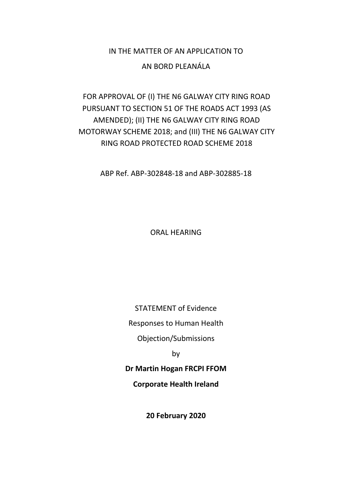# IN THE MATTER OF AN APPLICATION TO

### AN BORD PLEANÁLA

# FOR APPROVAL OF (I) THE N6 GALWAY CITY RING ROAD PURSUANT TO SECTION 51 OF THE ROADS ACT 1993 (AS AMENDED); (II) THE N6 GALWAY CITY RING ROAD MOTORWAY SCHEME 2018; and (III) THE N6 GALWAY CITY RING ROAD PROTECTED ROAD SCHEME 2018

ABP Ref. ABP-302848-18 and ABP-302885-18

ORAL HEARING

STATEMENT of Evidence

Responses to Human Health

Objection/Submissions

by

**Dr Martin Hogan FRCPI FFOM**

**Corporate Health Ireland**

**20 February 2020**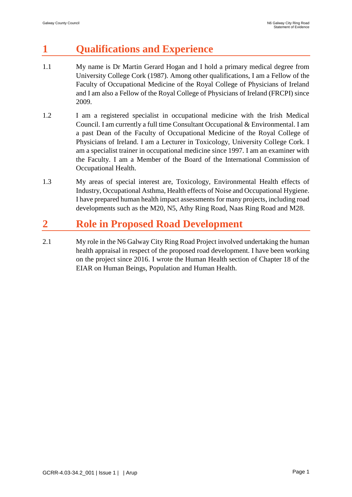# **1 Qualifications and Experience**

- 1.1 My name is Dr Martin Gerard Hogan and I hold a primary medical degree from University College Cork (1987). Among other qualifications, I am a Fellow of the Faculty of Occupational Medicine of the Royal College of Physicians of Ireland and I am also a Fellow of the Royal College of Physicians of Ireland (FRCPI) since 2009.
- 1.2 I am a registered specialist in occupational medicine with the Irish Medical Council. I am currently a full time Consultant Occupational & Environmental. I am a past Dean of the Faculty of Occupational Medicine of the Royal College of Physicians of Ireland. I am a Lecturer in Toxicology, University College Cork. I am a specialist trainer in occupational medicine since 1997. I am an examiner with the Faculty. I am a Member of the Board of the International Commission of Occupational Health.
- 1.3 My areas of special interest are, Toxicology, Environmental Health effects of Industry, Occupational Asthma, Health effects of Noise and Occupational Hygiene. I have prepared human health impact assessments for many projects, including road developments such as the M20, N5, Athy Ring Road, Naas Ring Road and M28.

# **2 Role in Proposed Road Development**

2.1 My role in the N6 Galway City Ring Road Project involved undertaking the human health appraisal in respect of the proposed road development. I have been working on the project since 2016. I wrote the Human Health section of Chapter 18 of the EIAR on Human Beings, Population and Human Health.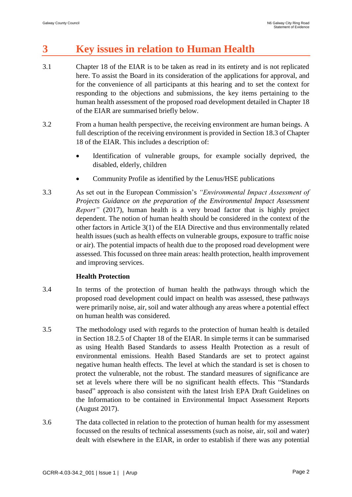# **3 Key issues in relation to Human Health**

- 3.1 Chapter 18 of the EIAR is to be taken as read in its entirety and is not replicated here. To assist the Board in its consideration of the applications for approval, and for the convenience of all participants at this hearing and to set the context for responding to the objections and submissions, the key items pertaining to the human health assessment of the proposed road development detailed in Chapter 18 of the EIAR are summarised briefly below.
- 3.2 From a human health perspective, the receiving environment are human beings. A full description of the receiving environment is provided in Section 18.3 of Chapter 18 of the EIAR. This includes a description of:
	- Identification of vulnerable groups, for example socially deprived, the disabled, elderly, children
	- Community Profile as identified by the Lenus/HSE publications
- 3.3 As set out in the European Commission's *"Environmental Impact Assessment of Projects Guidance on the preparation of the Environmental Impact Assessment Report"* (2017), human health is a very broad factor that is highly project dependent. The notion of human health should be considered in the context of the other factors in Article 3(1) of the EIA Directive and thus environmentally related health issues (such as health effects on vulnerable groups, exposure to traffic noise or air). The potential impacts of health due to the proposed road development were assessed. This focussed on three main areas: health protection, health improvement and improving services.

### **Health Protection**

- 3.4 In terms of the protection of human health the pathways through which the proposed road development could impact on health was assessed, these pathways were primarily noise, air, soil and water although any areas where a potential effect on human health was considered.
- 3.5 The methodology used with regards to the protection of human health is detailed in Section 18.2.5 of Chapter 18 of the EIAR. In simple terms it can be summarised as using Health Based Standards to assess Health Protection as a result of environmental emissions. Health Based Standards are set to protect against negative human health effects. The level at which the standard is set is chosen to protect the vulnerable, not the robust. The standard measures of significance are set at levels where there will be no significant health effects. This "Standards based" approach is also consistent with the latest Irish EPA Draft Guidelines on the Information to be contained in Environmental Impact Assessment Reports (August 2017).
- 3.6 The data collected in relation to the protection of human health for my assessment focussed on the results of technical assessments (such as noise, air, soil and water) dealt with elsewhere in the EIAR, in order to establish if there was any potential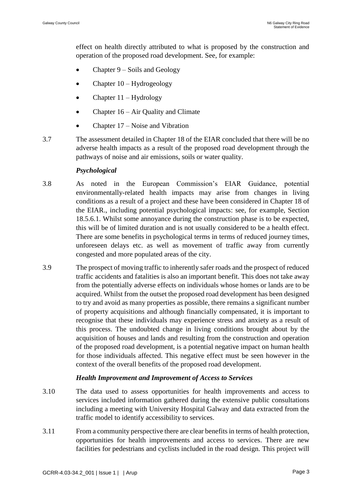effect on health directly attributed to what is proposed by the construction and operation of the proposed road development. See, for example:

- Chapter 9 Soils and Geology
- Chapter 10 Hydrogeology
- Chapter 11 Hydrology
- Chapter 16 Air Quality and Climate
- Chapter 17 Noise and Vibration
- 3.7 The assessment detailed in Chapter 18 of the EIAR concluded that there will be no adverse health impacts as a result of the proposed road development through the pathways of noise and air emissions, soils or water quality.

#### *Psychological*

- 3.8 As noted in the European Commission's EIAR Guidance, potential environmentally-related health impacts may arise from changes in living conditions as a result of a project and these have been considered in Chapter 18 of the EIAR., including potential psychological impacts: see, for example, Section 18.5.6.1. Whilst some annoyance during the construction phase is to be expected, this will be of limited duration and is not usually considered to be a health effect. There are some benefits in psychological terms in terms of reduced journey times, unforeseen delays etc. as well as movement of traffic away from currently congested and more populated areas of the city.
- 3.9 The prospect of moving traffic to inherently safer roads and the prospect of reduced traffic accidents and fatalities is also an important benefit. This does not take away from the potentially adverse effects on individuals whose homes or lands are to be acquired. Whilst from the outset the proposed road development has been designed to try and avoid as many properties as possible, there remains a significant number of property acquisitions and although financially compensated, it is important to recognise that these individuals may experience stress and anxiety as a result of this process. The undoubted change in living conditions brought about by the acquisition of houses and lands and resulting from the construction and operation of the proposed road development, is a potential negative impact on human health for those individuals affected. This negative effect must be seen however in the context of the overall benefits of the proposed road development.

#### *Health Improvement and Improvement of Access to Services*

- 3.10 The data used to assess opportunities for health improvements and access to services included information gathered during the extensive public consultations including a meeting with University Hospital Galway and data extracted from the traffic model to identify accessibility to services.
- 3.11 From a community perspective there are clear benefits in terms of health protection, opportunities for health improvements and access to services. There are new facilities for pedestrians and cyclists included in the road design. This project will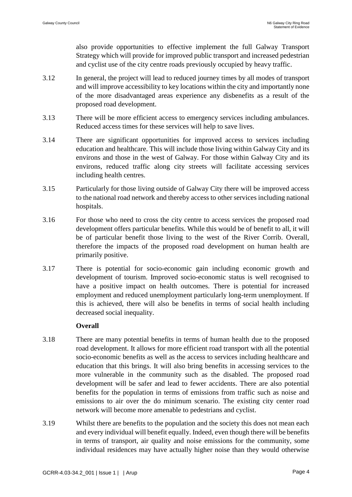also provide opportunities to effective implement the full Galway Transport Strategy which will provide for improved public transport and increased pedestrian and cyclist use of the city centre roads previously occupied by heavy traffic.

- 3.12 In general, the project will lead to reduced journey times by all modes of transport and will improve accessibility to key locations within the city and importantly none of the more disadvantaged areas experience any disbenefits as a result of the proposed road development.
- 3.13 There will be more efficient access to emergency services including ambulances. Reduced access times for these services will help to save lives.
- 3.14 There are significant opportunities for improved access to services including education and healthcare. This will include those living within Galway City and its environs and those in the west of Galway. For those within Galway City and its environs, reduced traffic along city streets will facilitate accessing services including health centres.
- 3.15 Particularly for those living outside of Galway City there will be improved access to the national road network and thereby access to other services including national hospitals.
- 3.16 For those who need to cross the city centre to access services the proposed road development offers particular benefits. While this would be of benefit to all, it will be of particular benefit those living to the west of the River Corrib. Overall, therefore the impacts of the proposed road development on human health are primarily positive.
- 3.17 There is potential for socio-economic gain including economic growth and development of tourism. Improved socio-economic status is well recognised to have a positive impact on health outcomes. There is potential for increased employment and reduced unemployment particularly long-term unemployment. If this is achieved, there will also be benefits in terms of social health including decreased social inequality.

#### **Overall**

- 3.18 There are many potential benefits in terms of human health due to the proposed road development. It allows for more efficient road transport with all the potential socio-economic benefits as well as the access to services including healthcare and education that this brings. It will also bring benefits in accessing services to the more vulnerable in the community such as the disabled. The proposed road development will be safer and lead to fewer accidents. There are also potential benefits for the population in terms of emissions from traffic such as noise and emissions to air over the do minimum scenario. The existing city center road network will become more amenable to pedestrians and cyclist.
- 3.19 Whilst there are benefits to the population and the society this does not mean each and every individual will benefit equally. Indeed, even though there will be benefits in terms of transport, air quality and noise emissions for the community, some individual residences may have actually higher noise than they would otherwise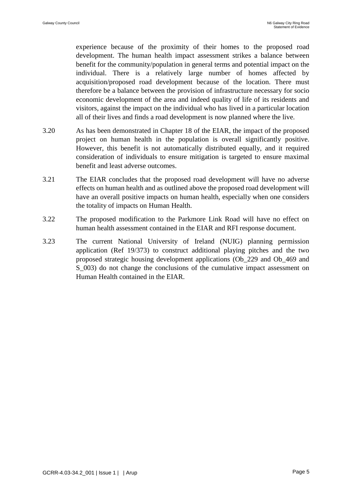experience because of the proximity of their homes to the proposed road development. The human health impact assessment strikes a balance between benefit for the community/population in general terms and potential impact on the individual. There is a relatively large number of homes affected by acquisition/proposed road development because of the location. There must therefore be a balance between the provision of infrastructure necessary for socio economic development of the area and indeed quality of life of its residents and visitors, against the impact on the individual who has lived in a particular location all of their lives and finds a road development is now planned where the live.

- 3.20 As has been demonstrated in Chapter 18 of the EIAR, the impact of the proposed project on human health in the population is overall significantly positive. However, this benefit is not automatically distributed equally, and it required consideration of individuals to ensure mitigation is targeted to ensure maximal benefit and least adverse outcomes.
- 3.21 The EIAR concludes that the proposed road development will have no adverse effects on human health and as outlined above the proposed road development will have an overall positive impacts on human health, especially when one considers the totality of impacts on Human Health.
- 3.22 The proposed modification to the Parkmore Link Road will have no effect on human health assessment contained in the EIAR and RFI response document.
- 3.23 The current National University of Ireland (NUIG) planning permission application (Ref 19/373) to construct additional playing pitches and the two proposed strategic housing development applications (Ob\_229 and Ob\_469 and S 003) do not change the conclusions of the cumulative impact assessment on Human Health contained in the EIAR.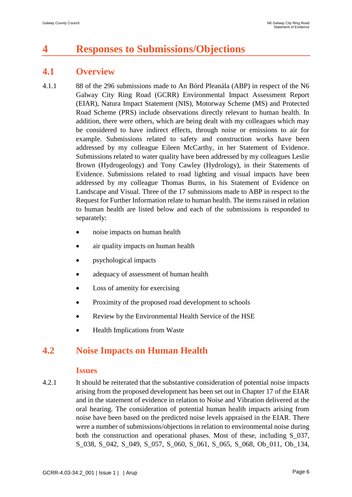# **4 Responses to Submissions/Objections**

### **4.1 Overview**

- 4.1.1 88 of the 296 submissions made to An Bórd Pleanála (ABP) in respect of the N6 Galway City Ring Road (GCRR) Environmental Impact Assessment Report (EIAR), Natura Impact Statement (NIS), Motorway Scheme (MS) and Protected Road Scheme (PRS) include observations directly relevant to human health. In addition, there were others, which are being dealt with my colleagues which may be considered to have indirect effects, through noise or emissions to air for example. Submissions related to safety and construction works have been addressed by my colleague Eileen McCarthy, in her Statement of Evidence. Submissions related to water quality have been addressed by my colleagues Leslie Brown (Hydrogeology) and Tony Cawley (Hydrology), in their Statements of Evidence. Submissions related to road lighting and visual impacts have been addressed by my colleague Thomas Burns, in his Statement of Evidence on Landscape and Visual. Three of the 17 submissions made to ABP in respect to the Request for Further Information relate to human health. The items raised in relation to human health are listed below and each of the submissions is responded to separately:
	- noise impacts on human health
	- air quality impacts on human health
	- psychological impacts
	- adequacy of assessment of human health
	- Loss of amenity for exercising
	- Proximity of the proposed road development to schools
	- Review by the Environmental Health Service of the HSE
	- Health Implications from Waste

## **4.2 Noise Impacts on Human Health**

#### **Issues**

4.2.1 It should be reiterated that the substantive consideration of potential noise impacts arising from the proposed development has been set out in Chapter 17 of the EIAR and in the statement of evidence in relation to Noise and Vibration delivered at the oral hearing. The consideration of potential human health impacts arising from noise have been based on the predicted noise levels appraised in the EIAR. There were a number of submissions/objections in relation to environmental noise during both the construction and operational phases. Most of these, including S\_037, S\_038, S\_042, S\_049, S\_057, S\_060, S\_061, S\_065, S\_068, Ob\_011, Ob\_134,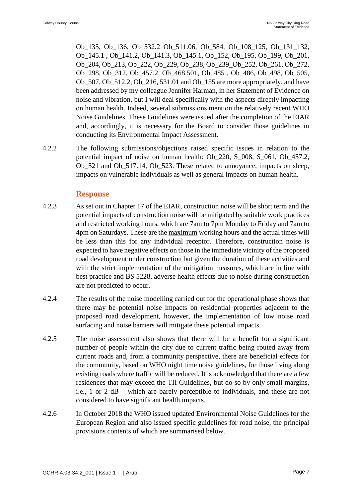Ob\_135, Ob\_136, Ob 532.2 Ob\_511.06, Ob\_584, Ob\_108\_125, Ob\_131\_132, Ob\_145.1 , Ob\_141.2, Ob\_141.3, Ob\_145.1, Ob\_152, Ob\_195, Ob\_199, Ob\_201, Ob\_204, Ob\_213, Ob\_222, Ob\_229, Ob\_238, Ob\_239\_Ob\_252, Ob\_261, Ob\_272, Ob\_298, Ob\_312, Ob\_457.2, Ob\_468.501, Ob\_485 , Ob\_486, Ob\_498, Ob\_505, Ob 507, Ob 512.2, Ob 216, 531.01 and Ob 155 are more appropriately, and have been addressed by my colleague Jennifer Harman, in her Statement of Evidence on noise and vibration, but I will deal specifically with the aspects directly impacting on human health. Indeed, several submissions mention the relatively recent WHO Noise Guidelines. These Guidelines were issued after the completion of the EIAR and, accordingly, it is necessary for the Board to consider those guidelines in conducting its Environmental Impact Assessment.

4.2.2 The following submissions/objections raised specific issues in relation to the potential impact of noise on human health: Ob\_220, S\_008, S\_061, Ob\_457.2, Ob\_521 and Ob\_517.14, Ob\_523. These related to annoyance, impacts on sleep, impacts on vulnerable individuals as well as general impacts on human health.

### **Response**

- 4.2.3 As set out in Chapter 17 of the EIAR, construction noise will be short term and the potential impacts of construction noise will be mitigated by suitable work practices and restricted working hours, which are 7am to 7pm Monday to Friday and 7am to 4pm on Saturdays. These are the maximum working hours and the actual times will be less than this for any individual receptor. Therefore, construction noise is expected to have negative effects on those in the immediate vicinity of the proposed road development under construction but given the duration of these activities and with the strict implementation of the mitigation measures, which are in line with best practice and BS 5228, adverse health effects due to noise during construction are not predicted to occur.
- 4.2.4 The results of the noise modelling carried out for the operational phase shows that there may be potential noise impacts on residential properties adjacent to the proposed road development, however, the implementation of low noise road surfacing and noise barriers will mitigate these potential impacts.
- 4.2.5 The noise assessment also shows that there will be a benefit for a significant number of people within the city due to current traffic being routed away from current roads and, from a community perspective, there are beneficial effects for the community, based on WHO night time noise guidelines, for those living along existing roads where traffic will be reduced. It is acknowledged that there are a few residences that may exceed the TII Guidelines, but do so by only small margins, i.e., 1 or 2 dB – which are barely perceptible to individuals, and these are not considered to have significant health impacts.
- 4.2.6 In October 2018 the WHO issued updated Environmental Noise Guidelines for the European Region and also issued specific guidelines for road noise, the principal provisions contents of which are summarised below.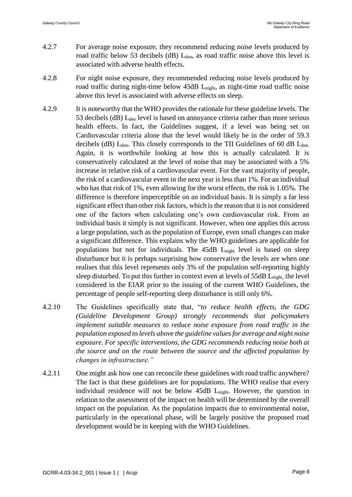- 4.2.7 For average noise exposure, they recommend reducing noise levels produced by road traffic below 53 decibels (dB)  $L_{den}$ , as road traffic noise above this level is associated with adverse health effects.
- 4.2.8 For night noise exposure, they recommended reducing noise levels produced by road traffic during night-time below 45dB L<sub>night</sub>, as night-time road traffic noise above this level is associated with adverse effects on sleep.
- 4.2.9 It is noteworthy that the WHO provides the rationale for these guideline levels. The 53 decibels (dB) L<sub>den</sub> level is based on annoyance criteria rather than more serious health effects. In fact, the Guidelines suggest, if a level was being set on Cardiovascular criteria alone that the level would likely be in the order of 59.3 decibels (dB)  $L_{den}$ . This closely corresponds to the TII Guidelines of 60 dB  $L_{den}$ . Again, it is worthwhile looking at how this is actually calculated. It is conservatively calculated at the level of noise that may be associated with a 5% increase in relative risk of a cardiovascular event. For the vast majority of people, the risk of a cardiovascular event in the next year is less than 1%. For an individual who has that risk of 1%, even allowing for the worst effects, the risk is 1.05%. The difference is therefore imperceptible on an individual basis. It is simply a far less significant effect than other risk factors, which is the reason that it is not considered one of the factors when calculating one's own cardiovascular risk. From an individual basis it simply is not significant. However, when one applies this across a large population, such as the population of Europe, even small changes can make a significant difference. This explains why the WHO guidelines are applicable for populations but not for individuals. The 45dB Lnight level is based on sleep disturbance but it is perhaps surprising how conservative the levels are when one realises that this level represents only 3% of the population self-reporting highly sleep disturbed. To put this further in context even at levels of  $55dB$  L<sub>night,</sub> the level considered in the EIAR prior to the issuing of the current WHO Guidelines, the percentage of people self-reporting sleep disturbance is still only 6%.
- 4.2.10 The Guidelines specifically state that, "*to reduce health effects, the GDG (Guideline Development Group) strongly recommends that policymakers implement suitable measures to reduce noise exposure from road traffic in the population exposed to levels above the guideline values for average and night noise exposure. For specific interventions, the GDG recommends reducing noise both at the source and on the route between the source and the affected population by changes in infrastructure."*
- 4.2.11 One might ask how one can reconcile these guidelines with road traffic anywhere? The fact is that these guidelines are for populations. The WHO realise that every individual residence will not be below 45dB L<sub>night</sub>. However, the question in relation to the assessment of the impact on health will be determined by the overall impact on the population. As the population impacts due to environmental noise, particularly in the operational phase, will be largely positive the proposed road development would be in keeping with the WHO Guidelines.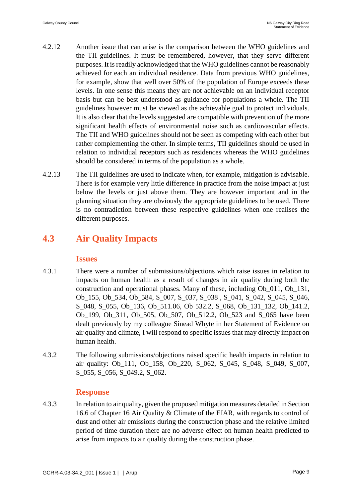- 4.2.12 Another issue that can arise is the comparison between the WHO guidelines and the TII guidelines. It must be remembered, however, that they serve different purposes. It is readily acknowledged that the WHO guidelines cannot be reasonably achieved for each an individual residence. Data from previous WHO guidelines, for example, show that well over 50% of the population of Europe exceeds these levels. In one sense this means they are not achievable on an individual receptor basis but can be best understood as guidance for populations a whole. The TII guidelines however must be viewed as the achievable goal to protect individuals. It is also clear that the levels suggested are compatible with prevention of the more significant health effects of environmental noise such as cardiovascular effects. The TII and WHO guidelines should not be seen as competing with each other but rather complementing the other. In simple terms, TII guidelines should be used in relation to individual receptors such as residences whereas the WHO guidelines should be considered in terms of the population as a whole.
- 4.2.13 The TII guidelines are used to indicate when, for example, mitigation is advisable. There is for example very little difference in practice from the noise impact at just below the levels or just above them. They are however important and in the planning situation they are obviously the appropriate guidelines to be used. There is no contradiction between these respective guidelines when one realises the different purposes.

## **4.3 Air Quality Impacts**

### **Issues**

- 4.3.1 There were a number of submissions/objections which raise issues in relation to impacts on human health as a result of changes in air quality during both the construction and operational phases. Many of these, including Ob\_011, Ob\_131, Ob 155, Ob 534, Ob 584, S\_007, S\_037, S\_038, S\_041, S\_042, S\_045, S\_046, S\_048, S\_055, Ob\_136, Ob\_511.06, Ob 532.2, S\_068, Ob\_131\_132, Ob\_141.2, Ob\_199, Ob\_311, Ob\_505, Ob\_507, Ob\_512.2, Ob\_523 and S\_065 have been dealt previously by my colleague Sinead Whyte in her Statement of Evidence on air quality and climate, I will respond to specific issues that may directly impact on human health.
- 4.3.2 The following submissions/objections raised specific health impacts in relation to air quality: Ob\_111, Ob\_158, Ob\_220, S\_062, S\_045, S\_048, S\_049, S\_007, S 055, S 056, S 049.2, S 062.

### **Response**

4.3.3 In relation to air quality, given the proposed mitigation measures detailed in Section 16.6 of Chapter 16 Air Quality & Climate of the EIAR, with regards to control of dust and other air emissions during the construction phase and the relative limited period of time duration there are no adverse effect on human health predicted to arise from impacts to air quality during the construction phase.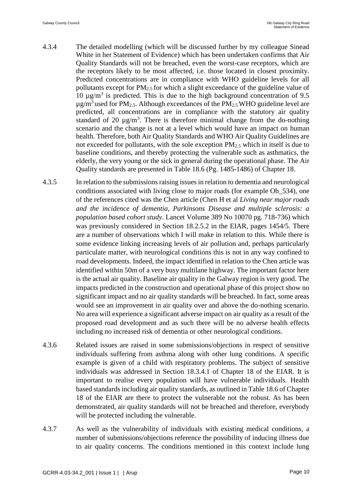- 4.3.4 The detailed modelling (which will be discussed further by my colleague Sinead White in her Statement of Evidence) which has been undertaken confirms that Air Quality Standards will not be breached, even the worst-case receptors, which are the receptors likely to be most affected, i.e. those located in closest proximity. Predicted concentrations are in compliance with WHO guideline levels for all pollutants except for  $PM_{2.5}$  for which a slight exceedance of the guideline value of 10  $\mu$ g/m<sup>3</sup> is predicted. This is due to the high background concentration of 9.5  $\mu$ g/m<sup>3</sup> used for PM<sub>2.5</sub>. Although exceedances of the PM<sub>2.5</sub> WHO guideline level are predicted, all concentrations are in compliance with the statutory air quality standard of 20  $\mu$ g/m<sup>3</sup>. There is therefore minimal change from the do-nothing scenario and the change is not at a level which would have an impact on human health. Therefore, both Air Quality Standards and WHO Air Quality Guidelines are not exceeded for pollutants, with the sole exception PM2.5 which in itself is due to baseline conditions, and thereby protecting the vulnerable such as asthmatics, the elderly, the very young or the sick in general during the operational phase. The Air Quality standards are presented in Table 18.6 (Pg. 1485-1486) of Chapter 18.
- 4.3.5 In relation to the submissions raising issues in relation to dementia and neurological conditions associated with living close to major roads (for example Ob\_534), one of the references cited was the Chen article (Chen H et al *Living near major roads and the incidence of dementia, Parkinsons Disease and multiple sclerosis: a population based cohort study*. Lancet Volume 389 No 10070 pg. 718-736) which was previously considered in Section 18.2.5.2 in the EIAR, pages 1454/5. There are a number of observations which I will make in relation to this. While there is some evidence linking increasing levels of air pollution and, perhaps particularly particulate matter, with neurological conditions this is not in any way confined to road developments. Indeed, the impact identified in relation to the Chen article was identified within 50m of a very busy multilane highway. The important factor here is the actual air quality. Baseline air quality in the Galway region is very good. The impacts predicted in the construction and operational phase of this project show no significant impact and no air quality standards will be breached. In fact, some areas would see an improvement in air quality over and above the do-nothing scenario. No area will experience a significant adverse impact on air quality as a result of the proposed road development and as such there will be no adverse health effects including no increased risk of dementia or other neurological conditions.
- 4.3.6 Related issues are raised in some submissions/objections in respect of sensitive individuals suffering from asthma along with other lung conditions. A specific example is given of a child with respiratory problems. The subject of sensitive individuals was addressed in Section 18.3.4.1 of Chapter 18 of the EIAR. It is important to realise every population will have vulnerable individuals. Health based standards including air quality standards, as outlined in Table 18.6 of Chapter 18 of the EIAR are there to protect the vulnerable not the robust. As has been demonstrated, air quality standards will not be breached and therefore, everybody will be protected including the vulnerable.
- 4.3.7 As well as the vulnerability of individuals with existing medical conditions, a number of submissions/objections reference the possibility of inducing illness due to air quality concerns. The conditions mentioned in this context include lung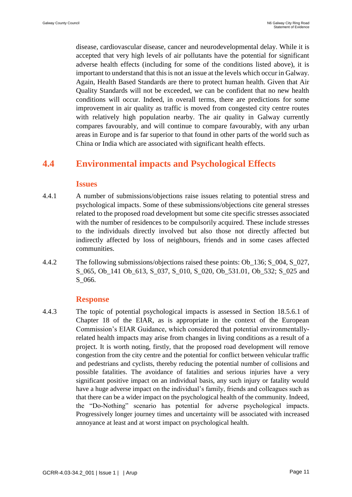disease, cardiovascular disease, cancer and neurodevelopmental delay. While it is accepted that very high levels of air pollutants have the potential for significant adverse health effects (including for some of the conditions listed above), it is important to understand that this is not an issue at the levels which occur in Galway. Again, Health Based Standards are there to protect human health. Given that Air Quality Standards will not be exceeded, we can be confident that no new health conditions will occur. Indeed, in overall terms, there are predictions for some improvement in air quality as traffic is moved from congested city centre routes with relatively high population nearby. The air quality in Galway currently compares favourably, and will continue to compare favourably, with any urban areas in Europe and is far superior to that found in other parts of the world such as China or India which are associated with significant health effects.

## **4.4 Environmental impacts and Psychological Effects**

#### **Issues**

- 4.4.1 A number of submissions/objections raise issues relating to potential stress and psychological impacts. Some of these submissions/objections cite general stresses related to the proposed road development but some cite specific stresses associated with the number of residences to be compulsorily acquired. These include stresses to the individuals directly involved but also those not directly affected but indirectly affected by loss of neighbours, friends and in some cases affected communities.
- 4.4.2 The following submissions/objections raised these points: Ob 136; S 004, S 027, S\_065, Ob\_141 Ob\_613, S\_037, S\_010, S\_020, Ob\_531.01, Ob\_532; S\_025 and S\_066.

### **Response**

4.4.3 The topic of potential psychological impacts is assessed in Section 18.5.6.1 of Chapter 18 of the EIAR, as is appropriate in the context of the European Commission's EIAR Guidance, which considered that potential environmentallyrelated health impacts may arise from changes in living conditions as a result of a project. It is worth noting, firstly, that the proposed road development will remove congestion from the city centre and the potential for conflict between vehicular traffic and pedestrians and cyclists, thereby reducing the potential number of collisions and possible fatalities. The avoidance of fatalities and serious injuries have a very significant positive impact on an individual basis, any such injury or fatality would have a huge adverse impact on the individual's family, friends and colleagues such as that there can be a wider impact on the psychological health of the community. Indeed, the "Do-Nothing" scenario has potential for adverse psychological impacts. Progressively longer journey times and uncertainty will be associated with increased annoyance at least and at worst impact on psychological health.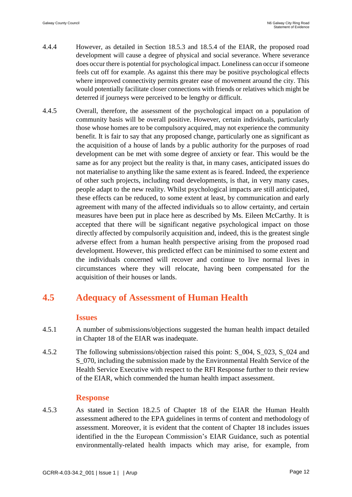- 4.4.4 However, as detailed in Section 18.5.3 and 18.5.4 of the EIAR, the proposed road development will cause a degree of physical and social severance. Where severance does occur there is potential for psychological impact. Loneliness can occur if someone feels cut off for example. As against this there may be positive psychological effects where improved connectivity permits greater ease of movement around the city. This would potentially facilitate closer connections with friends or relatives which might be deterred if journeys were perceived to be lengthy or difficult.
- 4.4.5 Overall, therefore, the assessment of the psychological impact on a population of community basis will be overall positive. However, certain individuals, particularly those whose homes are to be compulsory acquired, may not experience the community benefit. It is fair to say that any proposed change, particularly one as significant as the acquisition of a house of lands by a public authority for the purposes of road development can be met with some degree of anxiety or fear. This would be the same as for any project but the reality is that, in many cases, anticipated issues do not materialise to anything like the same extent as is feared. Indeed, the experience of other such projects, including road developments, is that, in very many cases, people adapt to the new reality. Whilst psychological impacts are still anticipated, these effects can be reduced, to some extent at least, by communication and early agreement with many of the affected individuals so to allow certainty, and certain measures have been put in place here as described by Ms. Eileen McCarthy. It is accepted that there will be significant negative psychological impact on those directly affected by compulsorily acquisition and, indeed, this is the greatest single adverse effect from a human health perspective arising from the proposed road development. However, this predicted effect can be minimised to some extent and the individuals concerned will recover and continue to live normal lives in circumstances where they will relocate, having been compensated for the acquisition of their houses or lands.

## **4.5 Adequacy of Assessment of Human Health**

#### **Issues**

- 4.5.1 A number of submissions/objections suggested the human health impact detailed in Chapter 18 of the EIAR was inadequate.
- 4.5.2 The following submissions/objection raised this point: S\_004, S\_023, S\_024 and S\_070, including the submission made by the Environmental Health Service of the Health Service Executive with respect to the RFI Response further to their review of the EIAR, which commended the human health impact assessment.

### **Response**

4.5.3 As stated in Section 18.2.5 of Chapter 18 of the EIAR the Human Health assessment adhered to the EPA guidelines in terms of content and methodology of assessment. Moreover, it is evident that the content of Chapter 18 includes issues identified in the the European Commission's EIAR Guidance, such as potential environmentally-related health impacts which may arise, for example, from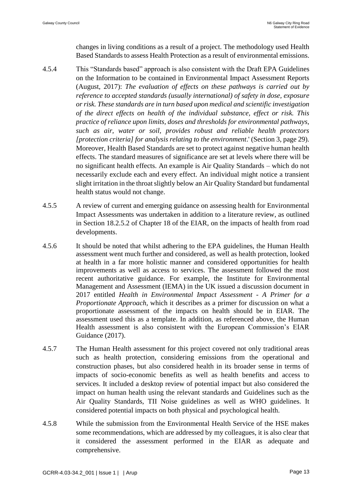changes in living conditions as a result of a project. The methodology used Health Based Standards to assess Health Protection as a result of environmental emissions.

- 4.5.4 This "Standards based" approach is also consistent with the Draft EPA Guidelines on the Information to be contained in Environmental Impact Assessment Reports (August, 2017): *The evaluation of effects on these pathways is carried out by reference to accepted standards (usually international) of safety in dose, exposure or risk. These standards are in turn based upon medical and scientific investigation of the direct effects on health of the individual substance, effect or risk. This practice of reliance upon limits, doses and thresholds for environmental pathways, such as air, water or soil, provides robust and reliable health protectors [protection criteria] for analysis relating to the environment*.' (Section 3, page 29). Moreover, Health Based Standards are set to protect against negative human health effects. The standard measures of significance are set at levels where there will be no significant health effects. An example is Air Quality Standards – which do not necessarily exclude each and every effect. An individual might notice a transient slight irritation in the throat slightly below an Air Quality Standard but fundamental health status would not change.
- 4.5.5 A review of current and emerging guidance on assessing health for Environmental Impact Assessments was undertaken in addition to a literature review, as outlined in Section 18.2.5.2 of Chapter 18 of the EIAR, on the impacts of health from road developments.
- 4.5.6 It should be noted that whilst adhering to the EPA guidelines, the Human Health assessment went much further and considered, as well as health protection, looked at health in a far more holistic manner and considered opportunities for health improvements as well as access to services. The assessment followed the most recent authoritative guidance. For example, the Institute for Environmental Management and Assessment (IEMA) in the UK issued a discussion document in 2017 entitled *Health in Environmental Impact Assessment - A Primer for a Proportionate Approach*, which it describes as a primer for discussion on what a proportionate assessment of the impacts on health should be in EIAR. The assessment used this as a template. In addition, as referenced above, the Human Health assessment is also consistent with the European Commission's EIAR Guidance (2017).
- 4.5.7 The Human Health assessment for this project covered not only traditional areas such as health protection, considering emissions from the operational and construction phases, but also considered health in its broader sense in terms of impacts of socio-economic benefits as well as health benefits and access to services. It included a desktop review of potential impact but also considered the impact on human health using the relevant standards and Guidelines such as the Air Quality Standards, TII Noise guidelines as well as WHO guidelines. It considered potential impacts on both physical and psychological health.
- 4.5.8 While the submission from the Environmental Health Service of the HSE makes some recommendations, which are addressed by my colleagues, it is also clear that it considered the assessment performed in the EIAR as adequate and comprehensive.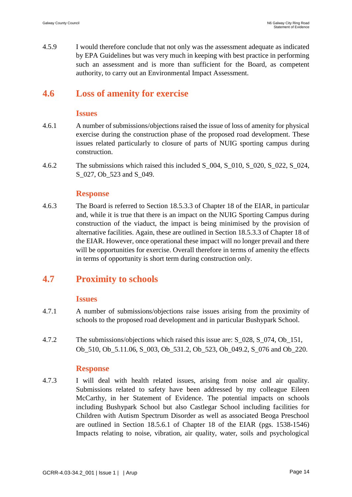4.5.9 I would therefore conclude that not only was the assessment adequate as indicated by EPA Guidelines but was very much in keeping with best practice in performing such an assessment and is more than sufficient for the Board, as competent authority, to carry out an Environmental Impact Assessment.

## **4.6 Loss of amenity for exercise**

#### **Issues**

- 4.6.1 A number of submissions/objections raised the issue of loss of amenity for physical exercise during the construction phase of the proposed road development. These issues related particularly to closure of parts of NUIG sporting campus during construction.
- 4.6.2 The submissions which raised this included S  $\,004$ , S  $\,010$ , S  $\,020$ , S  $\,022$ , S  $\,024$ , S 027, Ob 523 and S 049.

### **Response**

4.6.3 The Board is referred to Section 18.5.3.3 of Chapter 18 of the EIAR, in particular and, while it is true that there is an impact on the NUIG Sporting Campus during construction of the viaduct, the impact is being minimised by the provision of alternative facilities. Again, these are outlined in Section 18.5.3.3 of Chapter 18 of the EIAR. However, once operational these impact will no longer prevail and there will be opportunities for exercise. Overall therefore in terms of amenity the effects in terms of opportunity is short term during construction only.

# **4.7 Proximity to schools**

### **Issues**

- 4.7.1 A number of submissions/objections raise issues arising from the proximity of schools to the proposed road development and in particular Bushypark School.
- 4.7.2 The submissions/objections which raised this issue are: S\_028, S\_074, Ob\_151, Ob\_510, Ob\_5.11.06, S\_003, Ob\_531.2, Ob\_523, Ob\_049.2, S\_076 and Ob\_220.

### **Response**

4.7.3 I will deal with health related issues, arising from noise and air quality. Submissions related to safety have been addressed by my colleague Eileen McCarthy, in her Statement of Evidence. The potential impacts on schools including Bushypark School but also Castlegar School including facilities for Children with Autism Spectrum Disorder as well as associated Beoga Preschool are outlined in Section 18.5.6.1 of Chapter 18 of the EIAR (pgs. 1538-1546) Impacts relating to noise, vibration, air quality, water, soils and psychological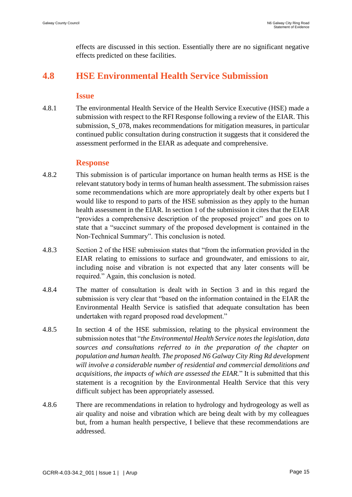effects are discussed in this section. Essentially there are no significant negative effects predicted on these facilities.

# **4.8 HSE Environmental Health Service Submission**

#### **Issue**

4.8.1 The environmental Health Service of the Health Service Executive (HSE) made a submission with respect to the RFI Response following a review of the EIAR. This submission, S\_078, makes recommendations for mitigation measures, in particular continued public consultation during construction it suggests that it considered the assessment performed in the EIAR as adequate and comprehensive.

### **Response**

- 4.8.2 This submission is of particular importance on human health terms as HSE is the relevant statutory body in terms of human health assessment. The submission raises some recommendations which are more appropriately dealt by other experts but I would like to respond to parts of the HSE submission as they apply to the human health assessment in the EIAR. In section 1 of the submission it cites that the EIAR "provides a comprehensive description of the proposed project" and goes on to state that a "succinct summary of the proposed development is contained in the Non-Technical Summary". This conclusion is noted.
- 4.8.3 Section 2 of the HSE submission states that "from the information provided in the EIAR relating to emissions to surface and groundwater, and emissions to air, including noise and vibration is not expected that any later consents will be required." Again, this conclusion is noted.
- 4.8.4 The matter of consultation is dealt with in Section 3 and in this regard the submission is very clear that "based on the information contained in the EIAR the Environmental Health Service is satisfied that adequate consultation has been undertaken with regard proposed road development."
- 4.8.5 In section 4 of the HSE submission, relating to the physical environment the submission notes that "*the Environmental Health Service notes the legislation, data sources and consultations referred to in the preparation of the chapter on population and human health. The proposed N6 Galway City Ring Rd development will involve a considerable number of residential and commercial demolitions and acquisitions, the impacts of which are assessed the EIAR.*" It is submitted that this statement is a recognition by the Environmental Health Service that this very difficult subject has been appropriately assessed.
- 4.8.6 There are recommendations in relation to hydrology and hydrogeology as well as air quality and noise and vibration which are being dealt with by my colleagues but, from a human health perspective, I believe that these recommendations are addressed.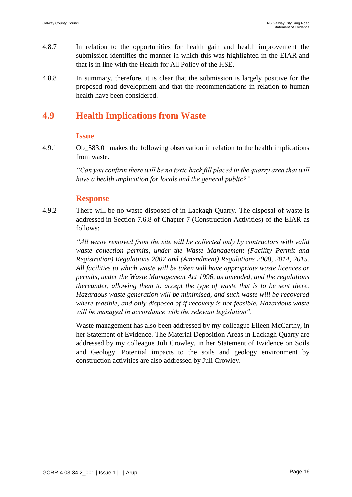- 4.8.7 In relation to the opportunities for health gain and health improvement the submission identifies the manner in which this was highlighted in the EIAR and that is in line with the Health for All Policy of the HSE.
- 4.8.8 In summary, therefore, it is clear that the submission is largely positive for the proposed road development and that the recommendations in relation to human health have been considered.

## **4.9 Health Implications from Waste**

#### **Issue**

4.9.1 Ob\_583.01 makes the following observation in relation to the health implications from waste.

> *"Can you confirm there will be no toxic back fill placed in the quarry area that will have a health implication for locals and the general public?"*

#### **Response**

4.9.2 There will be no waste disposed of in Lackagh Quarry. The disposal of waste is addressed in Section 7.6.8 of Chapter 7 (Construction Activities) of the EIAR as follows:

> *"All waste removed from the site will be collected only by contractors with valid waste collection permits, under the Waste Management (Facility Permit and Registration) Regulations 2007 and (Amendment) Regulations 2008, 2014, 2015. All facilities to which waste will be taken will have appropriate waste licences or permits, under the Waste Management Act 1996, as amended, and the regulations thereunder, allowing them to accept the type of waste that is to be sent there. Hazardous waste generation will be minimised, and such waste will be recovered where feasible, and only disposed of if recovery is not feasible. Hazardous waste will be managed in accordance with the relevant legislation".*

> Waste management has also been addressed by my colleague Eileen McCarthy, in her Statement of Evidence. The Material Deposition Areas in Lackagh Quarry are addressed by my colleague Juli Crowley, in her Statement of Evidence on Soils and Geology. Potential impacts to the soils and geology environment by construction activities are also addressed by Juli Crowley.